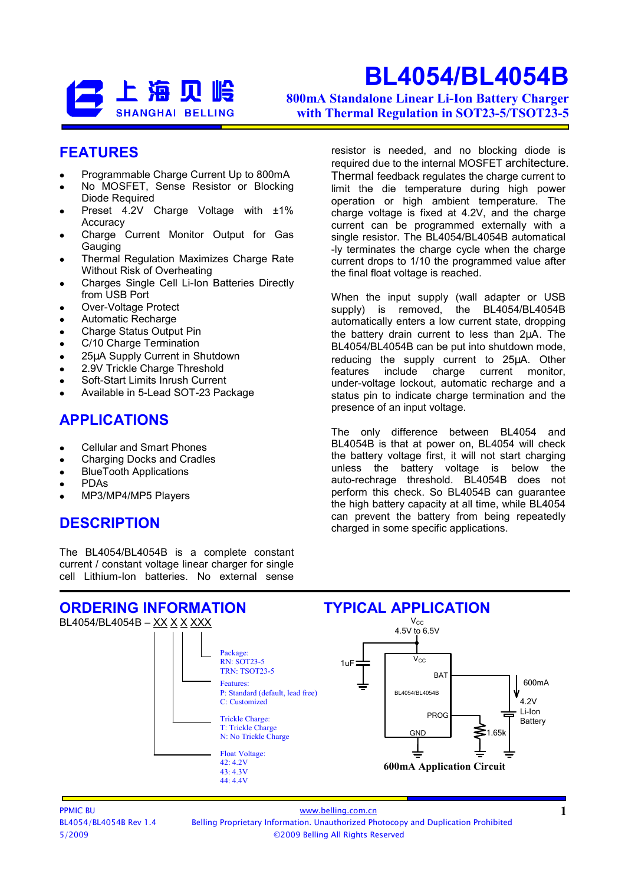### 上海贝岭 **SHANGHAI BELLING**

# BL4054/BL4054B

800mA Standalone Linear Li-Ion Battery Charger with Thermal Regulation in SOT23-5/TSOT23-5

#### FEATURES

- Programmable Charge Current Up to 800mA
- No MOSFET, Sense Resistor or Blocking Diode Required
- Preset 4.2V Charge Voltage with  $\pm 1\%$ Accuracy
- Charge Current Monitor Output for Gas Gauging
- Thermal Regulation Maximizes Charge Rate Without Risk of Overheating
- Charges Single Cell Li-Ion Batteries Directly from USB Port
- Over-Voltage Protect
- Automatic Recharge
- Charge Status Output Pin
- C/10 Charge Termination
- 25µA Supply Current in Shutdown
- 2.9V Trickle Charge Threshold
- Soft-Start Limits Inrush Current
- Available in 5-Lead SOT-23 Package

#### APPLICATIONS

- Cellular and Smart Phones
- Charging Docks and Cradles
- BlueTooth Applications
- PDAs
- MP3/MP4/MP5 Players

#### **DESCRIPTION**

The BL4054/BL4054B is a complete constant current / constant voltage linear charger for single cell Lithium-Ion batteries. No external sense resistor is needed, and no blocking diode is required due to the internal MOSFET architecture. Thermal feedback regulates the charge current to limit the die temperature during high power operation or high ambient temperature. The charge voltage is fixed at 4.2V, and the charge current can be programmed externally with a single resistor. The BL4054/BL4054B automatical -ly terminates the charge cycle when the charge current drops to 1/10 the programmed value after the final float voltage is reached.

When the input supply (wall adapter or USB supply) is removed, the BL4054/BL4054B automatically enters a low current state, dropping the battery drain current to less than 2µΑ. The BL4054/BL4054B can be put into shutdown mode, reducing the supply current to 25µA. Other features include charge current monitor, under-voltage lockout, automatic recharge and a status pin to indicate charge termination and the presence of an input voltage.

The only difference between BL4054 and BL4054B is that at power on, BL4054 will check the battery voltage first, it will not start charging unless the battery voltage is below the auto-rechrage threshold. BL4054B does not perform this check. So BL4054B can guarantee the high battery capacity at all time, while BL4054 can prevent the battery from being repeatedly charged in some specific applications.

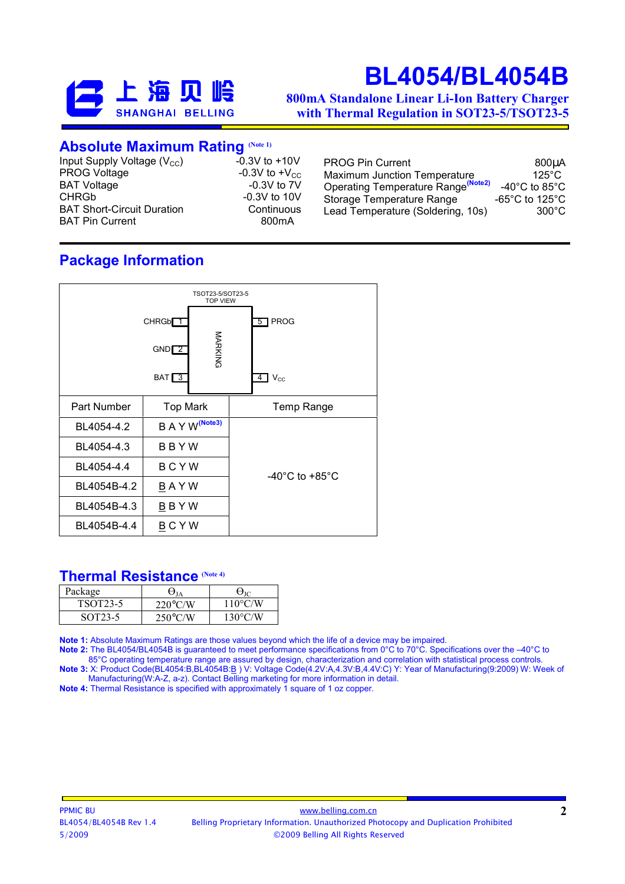

800mA Standalone Linear Li-Ion Battery Charger with Thermal Regulation in SOT23-5/TSOT23-5

#### **Absolute Maximum Rating (Note 1)**

| $-0.3V$ to $+10V$<br>Input Supply Voltage $(V_{CC})$<br><b>PROG Voltage</b><br>-0.3V to $+V_{CC}$<br><b>BAT Voltage</b><br>$-0.3V$ to $7V$<br><b>CHRGb</b><br>$-0.3V$ to 10V<br><b>BAT Short-Circuit Duration</b><br>Continuous<br><b>BAT Pin Current</b><br>800 <sub>m</sub> A | <b>PROG Pin Current</b><br>Maximum Junction Temperature<br>Operating Temperature Range <sup>(Note2)</sup><br>Storage Temperature Range<br>Lead Temperature (Soldering, 10s) | 800µA<br>125 $^{\circ}$ C<br>-40°C to 85°C<br>-65°C to 125°C<br>$300^{\circ}$ C |
|---------------------------------------------------------------------------------------------------------------------------------------------------------------------------------------------------------------------------------------------------------------------------------|-----------------------------------------------------------------------------------------------------------------------------------------------------------------------------|---------------------------------------------------------------------------------|
|---------------------------------------------------------------------------------------------------------------------------------------------------------------------------------------------------------------------------------------------------------------------------------|-----------------------------------------------------------------------------------------------------------------------------------------------------------------------------|---------------------------------------------------------------------------------|

### Package Information



#### Thermal Resistance (Note 4)

| Package               |                   |                   |
|-----------------------|-------------------|-------------------|
| TSOT <sub>23</sub> -5 | $220^{\circ}$ C/W | $110^{\circ}$ C/W |
| SOT <sub>23</sub> -5  | $250^{\circ}$ C/W | $130^{\circ}$ C/W |

Note 1: Absolute Maximum Ratings are those values beyond which the life of a device may be impaired.

Note 2: The BL4054/BL4054B is guaranteed to meet performance specifications from 0°C to 70°C. Specifications over the –40°C to 85°C operating temperature range are assured by design, characterization and correlation with statistical process controls. Note 3: X: Product Code(BL4054:B,BL4054B:<u>B</u>) V: Voltage Code(4.2V:A,4.3V:B,4.4V:C) Y: Year of Manufacturing(9:2009) W: Week of

Manufacturing(W:A-Z, a-z). Contact Belling marketing for more information in detail. Note 4: Thermal Resistance is specified with approximately 1 square of 1 oz copper.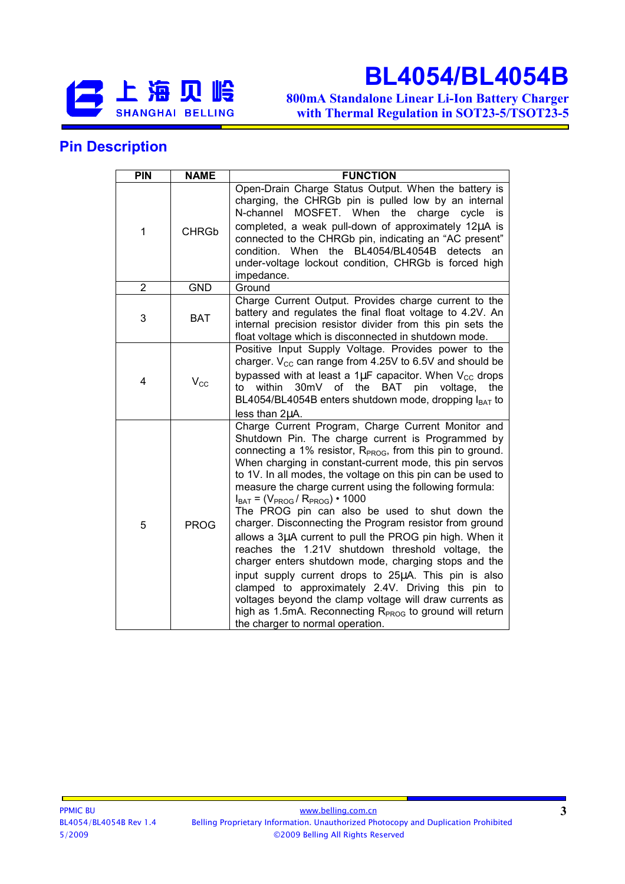

800mA Standalone Linear Li-Ion Battery Charger with Thermal Regulation in SOT23-5/TSOT23-5

#### Pin Description

| <b>PIN</b>     | <b>NAME</b>  | <b>FUNCTION</b>                                                                                                                                                                                                                                                                                                                                                                                                                                                                                                                                                                                                                                                                                                                                                                                                                                                                                                                                                                       |
|----------------|--------------|---------------------------------------------------------------------------------------------------------------------------------------------------------------------------------------------------------------------------------------------------------------------------------------------------------------------------------------------------------------------------------------------------------------------------------------------------------------------------------------------------------------------------------------------------------------------------------------------------------------------------------------------------------------------------------------------------------------------------------------------------------------------------------------------------------------------------------------------------------------------------------------------------------------------------------------------------------------------------------------|
| 1              | <b>CHRGb</b> | Open-Drain Charge Status Output. When the battery is<br>charging, the CHRGb pin is pulled low by an internal<br>N-channel<br>MOSFET. When the<br>charge<br>cycle<br>is<br>completed, a weak pull-down of approximately 12µA is<br>connected to the CHRGb pin, indicating an "AC present"<br>condition. When the BL4054/BL4054B<br>detects<br>an<br>under-voltage lockout condition, CHRGb is forced high<br>impedance.                                                                                                                                                                                                                                                                                                                                                                                                                                                                                                                                                                |
| $\overline{2}$ | <b>GND</b>   | Ground                                                                                                                                                                                                                                                                                                                                                                                                                                                                                                                                                                                                                                                                                                                                                                                                                                                                                                                                                                                |
| 3              | <b>BAT</b>   | Charge Current Output. Provides charge current to the<br>battery and regulates the final float voltage to 4.2V. An<br>internal precision resistor divider from this pin sets the<br>float voltage which is disconnected in shutdown mode.                                                                                                                                                                                                                                                                                                                                                                                                                                                                                                                                                                                                                                                                                                                                             |
| 4              | $V_{\rm CC}$ | Positive Input Supply Voltage. Provides power to the<br>charger. $V_{\text{CC}}$ can range from 4.25V to 6.5V and should be<br>bypassed with at least a 1 $\mu$ F capacitor. When $V_{CC}$ drops<br>30mV of the BAT pin<br>to<br>within<br>voltage,<br>the<br>BL4054/BL4054B enters shutdown mode, dropping I <sub>BAT</sub> to<br>less than 2µA.                                                                                                                                                                                                                                                                                                                                                                                                                                                                                                                                                                                                                                     |
| 5              | <b>PROG</b>  | Charge Current Program, Charge Current Monitor and<br>Shutdown Pin. The charge current is Programmed by<br>connecting a 1% resistor, $RPROG$ , from this pin to ground.<br>When charging in constant-current mode, this pin servos<br>to 1V. In all modes, the voltage on this pin can be used to<br>measure the charge current using the following formula:<br>$I_{BAT} = (V_{PROG} / R_{PROG}) \cdot 1000$<br>The PROG pin can also be used to shut down the<br>charger. Disconnecting the Program resistor from ground<br>allows a 3µA current to pull the PROG pin high. When it<br>reaches the 1.21V shutdown threshold voltage, the<br>charger enters shutdown mode, charging stops and the<br>input supply current drops to 25µA. This pin is also<br>clamped to approximately 2.4V. Driving this pin to<br>voltages beyond the clamp voltage will draw currents as<br>high as 1.5mA. Reconnecting R <sub>PROG</sub> to ground will return<br>the charger to normal operation. |

 $\overline{\phantom{a}}$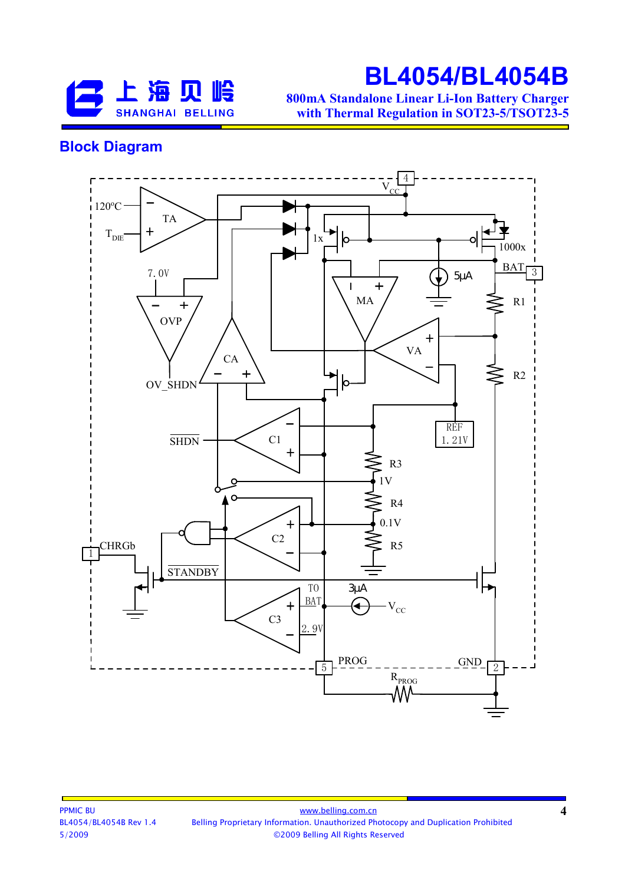

800mA Standalone Linear Li-Ion Battery Charger with Thermal Regulation in SOT23-5/TSOT23-5

#### Block Diagram



4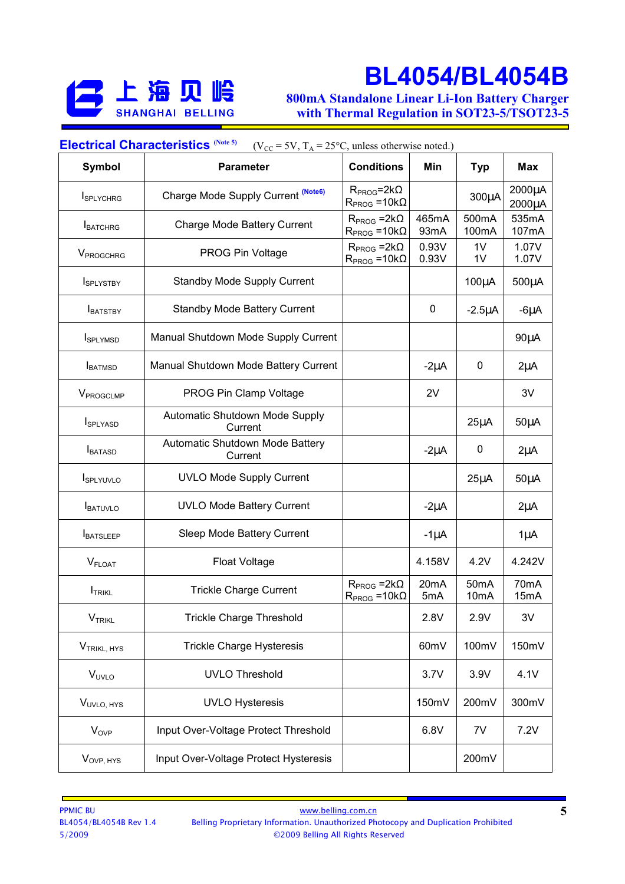

800mA Standalone Linear Li-Ion Battery Charger with Thermal Regulation in SOT23-5/TSOT23-5

| <b>Electrical Characteristics (Note 5)</b><br>( $V_{CC}$ = 5V, $T_A$ = 25°C, unless otherwise noted.) |                                            |                                              |                |                                        |                  |
|-------------------------------------------------------------------------------------------------------|--------------------------------------------|----------------------------------------------|----------------|----------------------------------------|------------------|
| <b>Symbol</b>                                                                                         | <b>Parameter</b>                           | <b>Conditions</b>                            | Min            | <b>Typ</b>                             | Max              |
| <b>I</b> SPLYCHRG                                                                                     | Charge Mode Supply Current (Note6)         | $R_{PROG} = 2k\Omega$<br>$RPROG = 10k\Omega$ |                | 300µA                                  | 2000µA<br>2000µA |
| <b>I</b> BATCHRG                                                                                      | Charge Mode Battery Current                | $R_{PROG} = 2k\Omega$<br>$RPROG = 10k\Omega$ | 465mA<br>93mA  | 500mA<br>100mA                         | 535mA<br>107mA   |
| VPROGCHRG                                                                                             | PROG Pin Voltage                           | $R_{PROG} = 2k\Omega$<br>$RPROG = 10k\Omega$ | 0.93V<br>0.93V | 1V<br>1 <sub>V</sub>                   | 1.07V<br>1.07V   |
| <b>I</b> SPLYSTBY                                                                                     | <b>Standby Mode Supply Current</b>         |                                              |                | $100\mu A$                             | $500\mu A$       |
| <b>IBATSTBY</b>                                                                                       | <b>Standby Mode Battery Current</b>        |                                              | 0              | $-2.5\mu A$                            | $-6\mu A$        |
| <b>I</b> SPLYMSD                                                                                      | Manual Shutdown Mode Supply Current        |                                              |                |                                        | $90\mu A$        |
| <b>I</b> BATMSD                                                                                       | Manual Shutdown Mode Battery Current       |                                              | $-2\mu A$      | 0                                      | $2\mu A$         |
| V <sub>PROGCLMP</sub>                                                                                 | PROG Pin Clamp Voltage                     |                                              | 2V             |                                        | 3V               |
| <b>I</b> SPLYASD                                                                                      | Automatic Shutdown Mode Supply<br>Current  |                                              |                | $25\mu A$                              | $50\mu A$        |
| <b>I</b> BATASD                                                                                       | Automatic Shutdown Mode Battery<br>Current |                                              | $-2\mu A$      | 0                                      | $2\mu A$         |
| <b>I</b> SPLYUVLO                                                                                     | <b>UVLO Mode Supply Current</b>            |                                              |                | $25\mu A$                              | $50\mu A$        |
| <b>IBATUVLO</b>                                                                                       | <b>UVLO Mode Battery Current</b>           |                                              | $-2\mu A$      |                                        | $2\mu A$         |
| <b>I</b> BATSLEEP                                                                                     | Sleep Mode Battery Current                 |                                              | $-1\mu A$      |                                        | $1\mu$ A         |
| <b>V</b> FLOAT                                                                                        | <b>Float Voltage</b>                       |                                              | 4.158V         | 4.2V                                   | 4.242V           |
| <b>I</b> TRIKL                                                                                        | <b>Trickle Charge Current</b>              | $R_{PROG} = 2k\Omega$<br>$RPROG = 10k\Omega$ | 20mA<br>5mA    | 50 <sub>m</sub> A<br>10 <sub>m</sub> A | 70mA<br>15mA     |
| $V_{TRIKL}$                                                                                           | <b>Trickle Charge Threshold</b>            |                                              | 2.8V           | 2.9V                                   | 3V               |
| V <sub>TRIKL, HYS</sub>                                                                               | <b>Trickle Charge Hysteresis</b>           |                                              | 60mV           | 100mV                                  | 150mV            |
| V <sub>UVLO</sub>                                                                                     | <b>UVLO Threshold</b>                      |                                              | 3.7V           | 3.9V                                   | 4.1V             |
| VUVLO, HYS                                                                                            | <b>UVLO Hysteresis</b>                     |                                              | 150mV          | 200mV                                  | 300mV            |
| $V_{OVP}$                                                                                             | Input Over-Voltage Protect Threshold       |                                              | 6.8V           | 7V                                     | 7.2V             |
| V <sub>OVP, HYS</sub>                                                                                 | Input Over-Voltage Protect Hysteresis      |                                              |                | 200mV                                  |                  |

 $\overline{\phantom{a}}$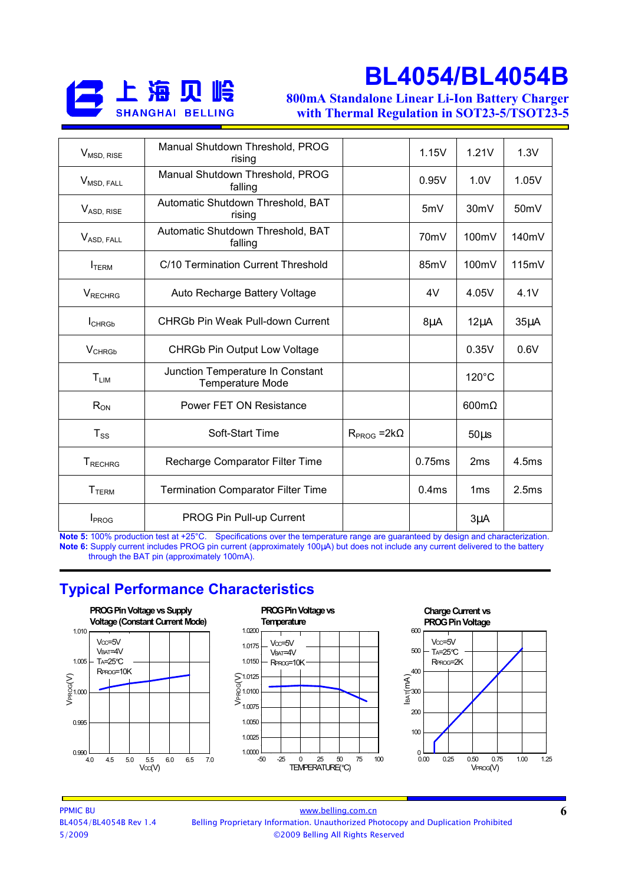

800mA Standalone Linear Li-Ion Battery Charger with Thermal Regulation in SOT23-5/TSOT23-5

| V <sub>MSD, RISE</sub>   | Manual Shutdown Threshold, PROG<br>rising                   |                       | 1.15V             | 1.21V                | 1.3V              |
|--------------------------|-------------------------------------------------------------|-----------------------|-------------------|----------------------|-------------------|
| V <sub>MSD, FALL</sub>   | Manual Shutdown Threshold, PROG<br>falling                  |                       | 0.95V             | 1.0V                 | 1.05V             |
| V <sub>ASD, RISE</sub>   | Automatic Shutdown Threshold, BAT<br>rising                 |                       | 5mV               | 30 <sub>m</sub> V    | 50 <sub>m</sub> V |
| V <sub>ASD, FALL</sub>   | Automatic Shutdown Threshold, BAT<br>falling                |                       | 70 <sub>m</sub> V | 100mV                | 140mV             |
| <b>I</b> TERM            | C/10 Termination Current Threshold                          |                       | 85mV              | 100mV                | 115mV             |
| <b>VRECHRG</b>           | Auto Recharge Battery Voltage                               |                       | 4V                | 4.05V                | 4.1V              |
| <b>I</b> CHRGb           | <b>CHRGb Pin Weak Pull-down Current</b>                     |                       | $8\mu$ A          | $12\mu$ A            | $35\mu A$         |
| <b>V</b> CHRGb           | <b>CHRGb Pin Output Low Voltage</b>                         |                       |                   | 0.35V                | 0.6V              |
| $T_{LIM}$                | Junction Temperature In Constant<br><b>Temperature Mode</b> |                       |                   | $120^{\circ}$ C      |                   |
| $R_{ON}$                 | Power FET ON Resistance                                     |                       |                   | $600 \text{m}\Omega$ |                   |
| $T_{SS}$                 | Soft-Start Time                                             | $R_{PROG} = 2k\Omega$ |                   | $50\mu s$            |                   |
| <b>T</b> RECHRG          | Recharge Comparator Filter Time                             |                       | 0.75ms            | 2ms                  | 4.5ms             |
| <b>T</b> <sub>TERM</sub> | <b>Termination Comparator Filter Time</b>                   |                       | 0.4ms             | 1 <sub>ms</sub>      | 2.5ms             |
| <b>I</b> PROG            | PROG Pin Pull-up Current                                    |                       |                   | $3\mu$ A             |                   |

Note 5: 100% production test at +25°C. Specifications over the temperature range are guaranteed by design and characterization. Note 6: Supply current includes PROG pin current (approximately 100µA) but does not include any current delivered to the battery through the BAT pin (approximately 100mA).

#### Typical Performance Characteristics

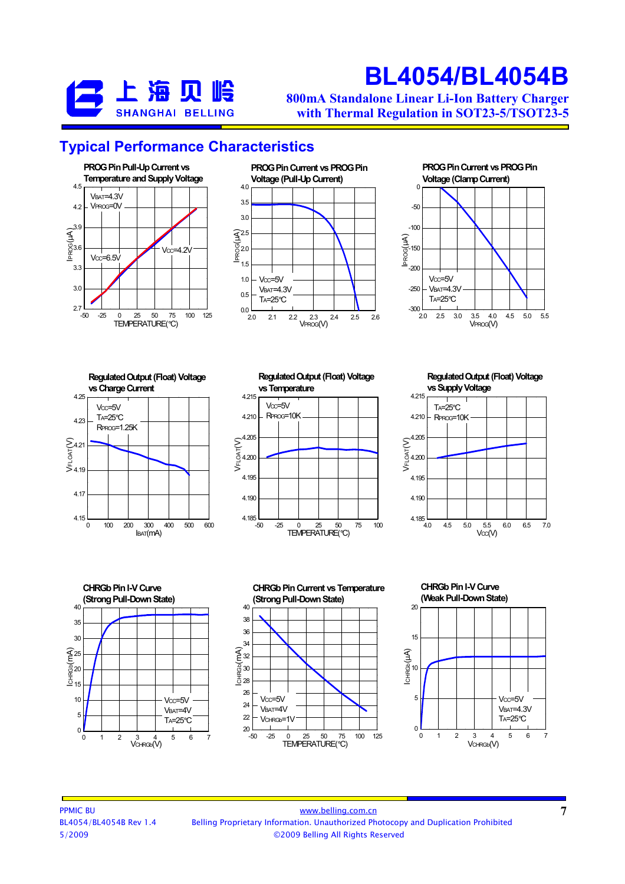

800mA Standalone Linear Li-Ion Battery Charger with Thermal Regulation in SOT23-5/TSOT23-5

#### Typical Performance Characteristics







0 100 200 300 400 500 600 4.15 **L** 4.17 4.19 S<br>|<br>|<br>|<br>|<br>|<br>|<br>|<br>|<br>|<br>|<br>|<br>|<br>|<br>|<br>| 4.23 4.25  $I<sub>BAT</sub>(mA)$ Regulated Output (Float) Voltage vs Charge Current  $Vcc = 5V$ TA=25°C RPROG=1.25K



Regulated Output (Float) Voltage vs Supply Voltage







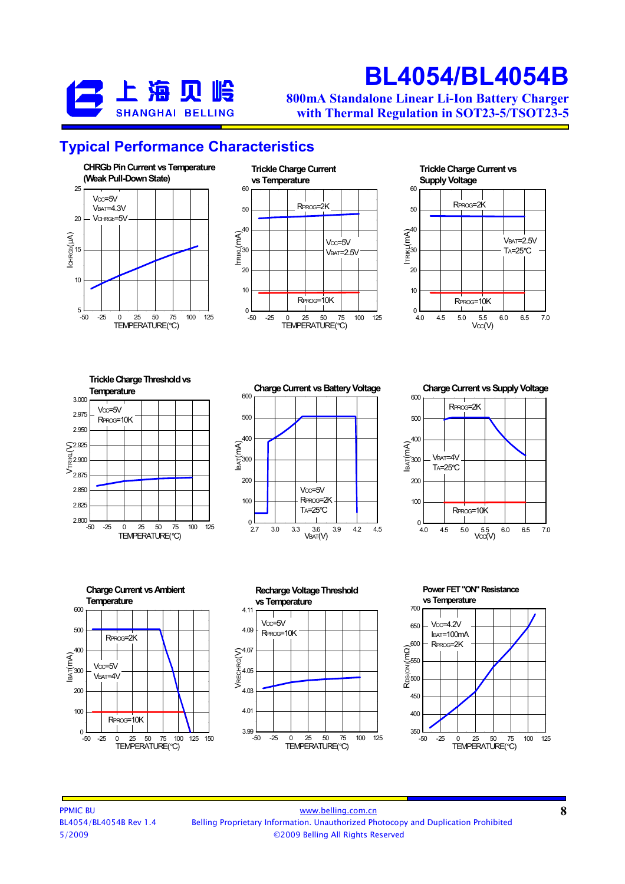

800mA Standalone Linear Li-Ion Battery Charger with Thermal Regulation in SOT23-5/TSOT23-5

#### Typical Performance Characteristics





#### 30  $\widehat{\mathcal{E}}^{40}$ 50 60 Trickle Charge Current vs Supply Voltage RPROG=2k **VBAT=2.5V** TA=25°C



-50 -25 0 25 50 75 100 125  $2.800$   $-50$ 2.825 2.850 2.875 2.900 2.925 2.950 2.975 3.000 VTRIKL(V) TEMPERATURE(°C) Trickle Charge Threshold vs **Temperature**  $Vcc = 5V$ RPROG=10K

2.7 3.0 3.3 3.6 3.9 4.2 4.5 VBAT(V)  $^{0}$   $^{1}$ 100 200 300  $\widehat{\mathsf{H}}_{\bar{\mathsf{H}}}^{400}$ 500  $600$ Charge Current vs Battery Voltage  $Vcc = 5V$ RPROG=2K TA=25°C

500  $600$ RPROG=2K

Charge Current vs Supply Voltage







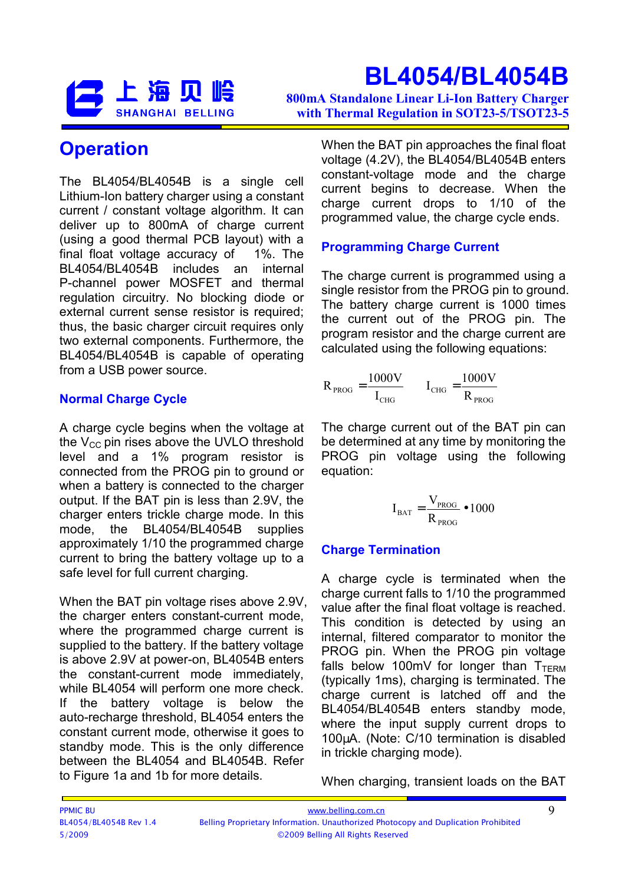

800mA Standalone Linear Li-Ion Battery Charger with Thermal Regulation in SOT23-5/TSOT23-5

### **Operation**

The BL4054/BL4054B is a single cell Lithium-Ion battery charger using a constant current / constant voltage algorithm. It can deliver up to 800mA of charge current (using a good thermal PCB layout) with a final float voltage accuracy of 1%. The BL4054/BL4054B includes an internal P-channel power MOSFET and thermal regulation circuitry. No blocking diode or external current sense resistor is required; thus, the basic charger circuit requires only two external components. Furthermore, the BL4054/BL4054B is capable of operating from a USB power source.

#### Normal Charge Cycle

A charge cycle begins when the voltage at the  $V_{CC}$  pin rises above the UVLO threshold level and a 1% program resistor is connected from the PROG pin to ground or when a battery is connected to the charger output. If the BAT pin is less than 2.9V, the charger enters trickle charge mode. In this mode, the BL4054/BL4054B supplies approximately 1/10 the programmed charge current to bring the battery voltage up to a safe level for full current charging.

When the BAT pin voltage rises above 2.9V, the charger enters constant-current mode, where the programmed charge current is supplied to the battery. If the battery voltage is above 2.9V at power-on, BL4054B enters the constant-current mode immediately, while BL4054 will perform one more check. If the battery voltage is below the auto-recharge threshold, BL4054 enters the constant current mode, otherwise it goes to standby mode. This is the only difference between the BL4054 and BL4054B. Refer to Figure 1a and 1b for more details.

When the BAT pin approaches the final float voltage (4.2V), the BL4054/BL4054B enters constant-voltage mode and the charge current begins to decrease. When the charge current drops to 1/10 of the programmed value, the charge cycle ends.

#### Programming Charge Current

The charge current is programmed using a single resistor from the PROG pin to ground. The battery charge current is 1000 times the current out of the PROG pin. The program resistor and the charge current are calculated using the following equations:

$$
R_{PROG} = \frac{1000V}{I_{CHG}} \qquad I_{CHG} = \frac{1000V}{R_{PROG}}
$$

The charge current out of the BAT pin can be determined at any time by monitoring the PROG pin voltage using the following equation:

$$
I_{\rm BAT} = \frac{V_{\rm PROG}}{R_{\rm PROG}} \bullet 1000
$$

#### Charge Termination

A charge cycle is terminated when the charge current falls to 1/10 the programmed value after the final float voltage is reached. This condition is detected by using an internal, filtered comparator to monitor the PROG pin. When the PROG pin voltage falls below 100mV for longer than  $T_{\text{TFRM}}$ (typically 1ms), charging is terminated. The charge current is latched off and the BL4054/BL4054B enters standby mode, where the input supply current drops to 100µA. (Note: C/10 termination is disabled in trickle charging mode).

When charging, transient loads on the BAT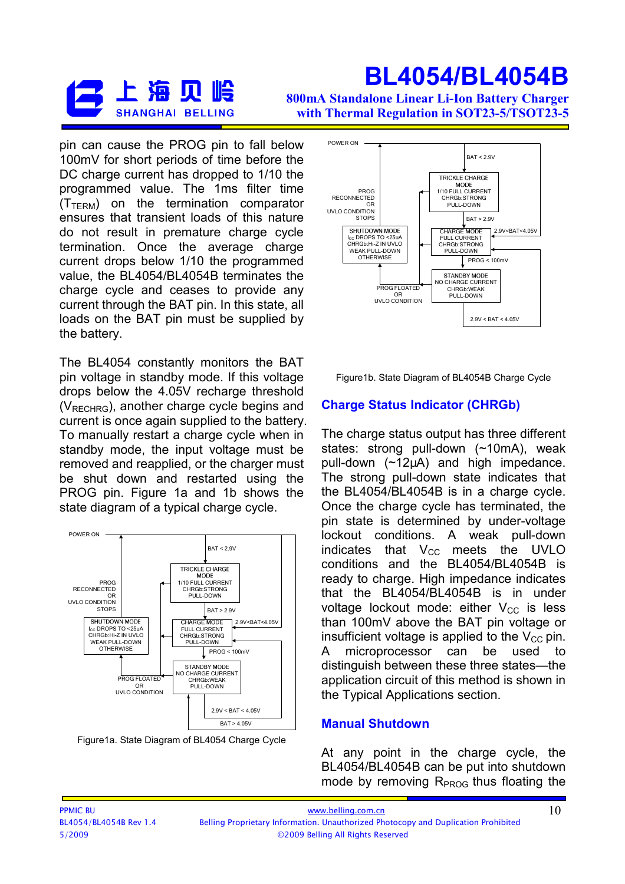

800mA Standalone Linear Li-Ion Battery Charger with Thermal Regulation in SOT23-5/TSOT23-5

pin can cause the PROG pin to fall below 100mV for short periods of time before the DC charge current has dropped to 1/10 the programmed value. The 1ms filter time  $(T_{TFRM})$  on the termination comparator ensures that transient loads of this nature do not result in premature charge cycle termination. Once the average charge current drops below 1/10 the programmed value, the BL4054/BL4054B terminates the charge cycle and ceases to provide any current through the BAT pin. In this state, all loads on the BAT pin must be supplied by the battery.

The BL4054 constantly monitors the BAT pin voltage in standby mode. If this voltage drops below the 4.05V recharge threshold (VRECHRG), another charge cycle begins and current is once again supplied to the battery. To manually restart a charge cycle when in standby mode, the input voltage must be removed and reapplied, or the charger must be shut down and restarted using the PROG pin. Figure 1a and 1b shows the state diagram of a typical charge cycle.



Figure1a. State Diagram of BL4054 Charge Cycle



Figure1b. State Diagram of BL4054B Charge Cycle

#### Charge Status Indicator (CHRGb)

The charge status output has three different states: strong pull-down (~10mA), weak pull-down  $(\sim 12\mu A)$  and high impedance. The strong pull-down state indicates that the BL4054/BL4054B is in a charge cycle. Once the charge cycle has terminated, the pin state is determined by under-voltage lockout conditions. A weak pull-down indicates that  $V_{CC}$  meets the UVLO conditions and the BL4054/BL4054B is ready to charge. High impedance indicates that the BL4054/BL4054B is in under voltage lockout mode: either  $V_{CC}$  is less than 100mV above the BAT pin voltage or insufficient voltage is applied to the  $V_{CC}$  pin. A microprocessor can be used distinguish between these three states—the application circuit of this method is shown in the Typical Applications section.

#### Manual Shutdown

At any point in the charge cycle, the BL4054/BL4054B can be put into shutdown mode by removing  $R<sub>PROG</sub>$  thus floating the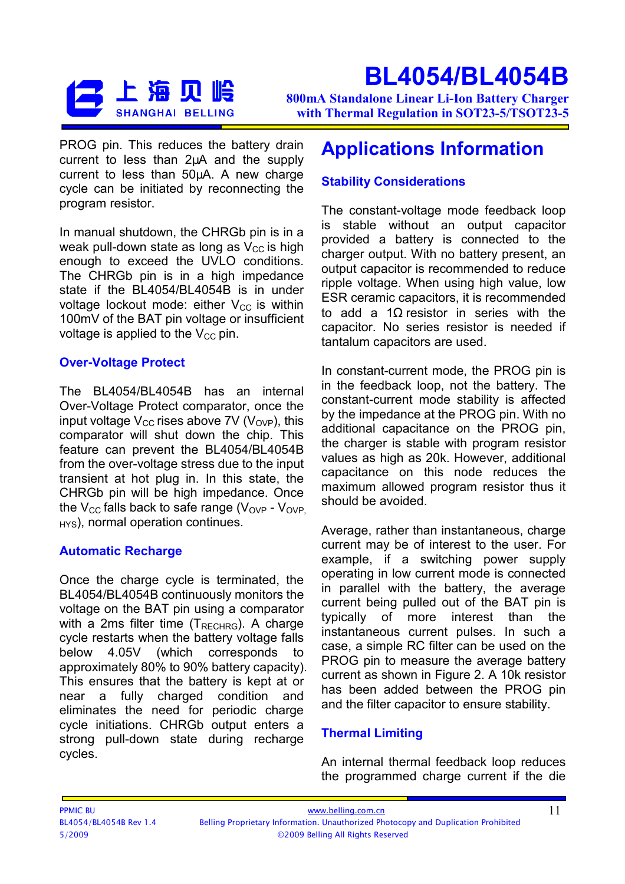

800mA Standalone Linear Li-Ion Battery Charger with Thermal Regulation in SOT23-5/TSOT23-5

PROG pin. This reduces the battery drain current to less than 2µA and the supply current to less than 50µA. A new charge cycle can be initiated by reconnecting the program resistor.

In manual shutdown, the CHRGb pin is in a weak pull-down state as long as  $V_{CC}$  is high enough to exceed the UVLO conditions. The CHRGb pin is in a high impedance state if the BL4054/BL4054B is in under voltage lockout mode: either  $V_{CC}$  is within 100mV of the BAT pin voltage or insufficient voltage is applied to the  $V_{CC}$  pin.

#### Over-Voltage Protect

The BL4054/BL4054B has an internal Over-Voltage Protect comparator, once the input voltage  $V_{CC}$  rises above 7V ( $V_{OVP}$ ), this comparator will shut down the chip. This feature can prevent the BL4054/BL4054B from the over-voltage stress due to the input transient at hot plug in. In this state, the CHRGb pin will be high impedance. Once the  $V_{CC}$  falls back to safe range ( $V_{OVP}$  -  $V_{OVP}$  $H<sub>HS</sub>$ , normal operation continues.

#### Automatic Recharge

Once the charge cycle is terminated, the BL4054/BL4054B continuously monitors the voltage on the BAT pin using a comparator with a 2ms filter time  $(T_{RECHRG})$ . A charge cycle restarts when the battery voltage falls below 4.05V (which corresponds to approximately 80% to 90% battery capacity). This ensures that the battery is kept at or near a fully charged condition and eliminates the need for periodic charge cycle initiations. CHRGb output enters a strong pull-down state during recharge cycles.

### Applications Information

#### Stability Considerations

The constant-voltage mode feedback loop is stable without an output capacitor provided a battery is connected to the charger output. With no battery present, an output capacitor is recommended to reduce ripple voltage. When using high value, low ESR ceramic capacitors, it is recommended to add a 1Ω resistor in series with the capacitor. No series resistor is needed if tantalum capacitors are used.

In constant-current mode, the PROG pin is in the feedback loop, not the battery. The constant-current mode stability is affected by the impedance at the PROG pin. With no additional capacitance on the PROG pin, the charger is stable with program resistor values as high as 20k. However, additional capacitance on this node reduces the maximum allowed program resistor thus it should be avoided.

Average, rather than instantaneous, charge current may be of interest to the user. For example, if a switching power supply operating in low current mode is connected in parallel with the battery, the average current being pulled out of the BAT pin is typically of more interest than the instantaneous current pulses. In such a case, a simple RC filter can be used on the PROG pin to measure the average battery current as shown in Figure 2. A 10k resistor has been added between the PROG pin and the filter capacitor to ensure stability.

#### Thermal Limiting

An internal thermal feedback loop reduces the programmed charge current if the die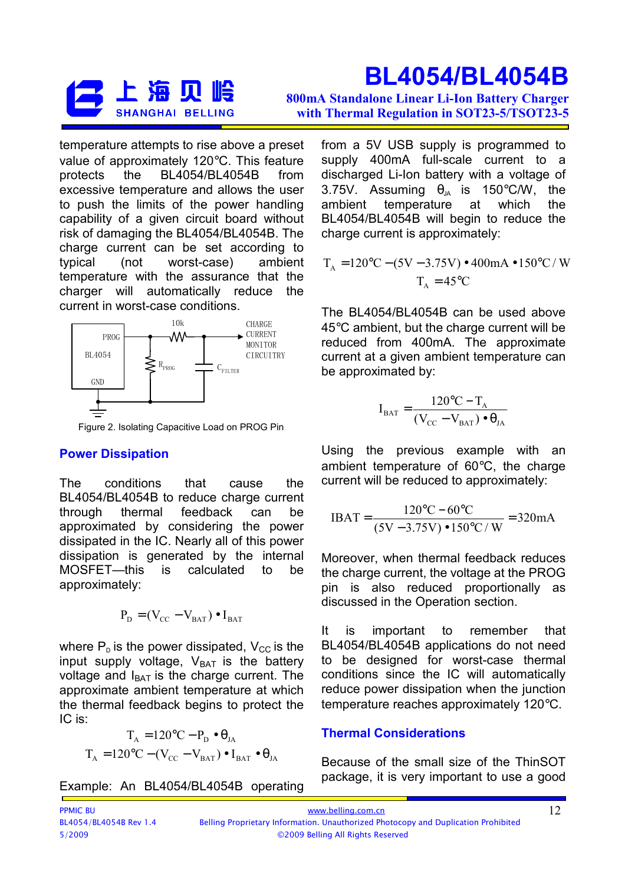

BL4054/BL4054B 800mA Standalone Linear Li-Ion Battery Charger with Thermal Regulation in SOT23-5/TSOT23-5

temperature attempts to rise above a preset value of approximately 120°C. This feature protects the BL4054/BL4054B from excessive temperature and allows the user to push the limits of the power handling capability of a given circuit board without risk of damaging the BL4054/BL4054B. The charge current can be set according to typical (not worst-case) ambient temperature with the assurance that the charger will automatically reduce the current in worst-case conditions.



Figure 2. Isolating Capacitive Load on PROG Pin

#### Power Dissipation

The conditions that cause the BL4054/BL4054B to reduce charge current through thermal feedback can be approximated by considering the power dissipated in the IC. Nearly all of this power dissipation is generated by the internal MOSFET—this is calculated to be approximately:

$$
\mathbf{P}_{\mathbf{D}} = (\mathbf{V}_{\mathbf{CC}} - \mathbf{V}_{\mathbf{BAT}}) \bullet \mathbf{I}_{\mathbf{BAT}}
$$

where  $P<sub>D</sub>$  is the power dissipated,  $V<sub>CC</sub>$  is the input supply voltage,  $V_{BAT}$  is the battery voltage and  $I<sub>BAT</sub>$  is the charge current. The approximate ambient temperature at which the thermal feedback begins to protect the IC is:

$$
T_{A} = 120\degree C - P_{D} \bullet \theta_{JA}
$$

$$
T_{A} = 120\degree C - (V_{CC} - V_{BAT}) \bullet I_{BAT} \bullet \theta_{JA}
$$

Example: An BL4054/BL4054B operating

from a 5V USB supply is programmed to supply 400mA full-scale current to a discharged Li-Ion battery with a voltage of 3.75V. Assuming  $\theta_{14}$  is 150°C/W, the ambient temperature at which the BL4054/BL4054B will begin to reduce the charge current is approximately:

$$
T_A = 120\degree C - (5V - 3.75V) \cdot 400 \text{mA} \cdot 150\degree C / W
$$
  

$$
T_A = 45\degree C
$$

The BL4054/BL4054B can be used above 45°C ambient, but the charge current will be reduced from 400mA. The approximate current at a given ambient temperature can be approximated by:

$$
I_{\text{BAT}} = \frac{120\text{°C} - T_{\text{A}}}{(V_{\text{CC}} - V_{\text{BAT}}) \bullet \theta_{\text{JA}}}
$$

Using the previous example with an ambient temperature of 60°C, the charge current will be reduced to approximately:

$$
IBAT = \frac{120\degree\text{C} - 60\degree\text{C}}{(5\text{V} - 3.75\text{V}) \cdot 150\degree\text{C}/\text{W}} = 320\text{mA}
$$

Moreover, when thermal feedback reduces the charge current, the voltage at the PROG pin is also reduced proportionally as discussed in the Operation section.

It is important to remember that BL4054/BL4054B applications do not need to be designed for worst-case thermal conditions since the IC will automatically reduce power dissipation when the junction temperature reaches approximately 120°C.

#### Thermal Considerations

Because of the small size of the ThinSOT package, it is very important to use a good

| <b>PPMIC BU</b>        | www.belling.com.cn                                                                 |
|------------------------|------------------------------------------------------------------------------------|
| BL4054/BL4054B Rev 1.4 | Belling Proprietary Information. Unauthorized Photocopy and Duplication Prohibited |
| 5/2009                 | ©2009 Belling All Rights Reserved                                                  |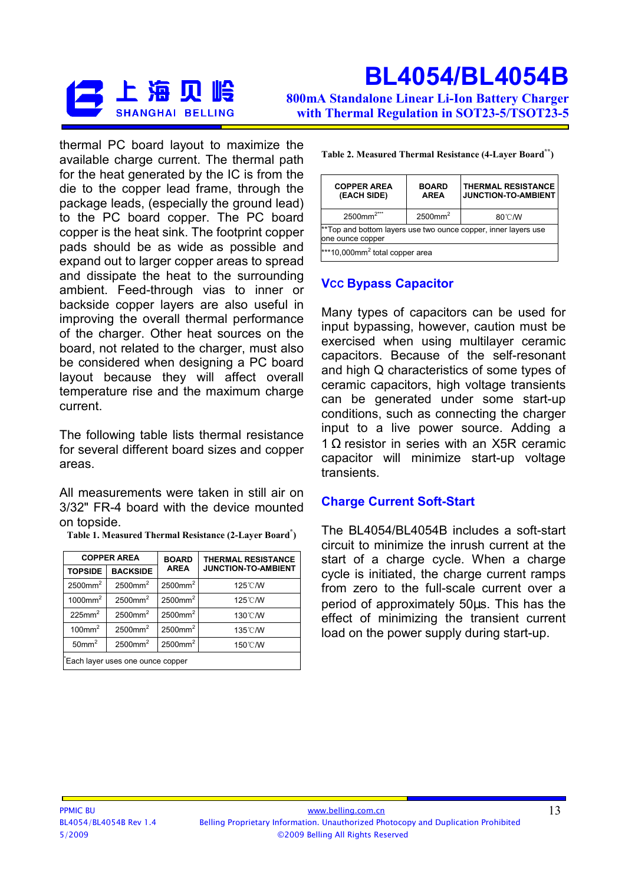

800mA Standalone Linear Li-Ion Battery Charger with Thermal Regulation in SOT23-5/TSOT23-5

thermal PC board layout to maximize the available charge current. The thermal path for the heat generated by the IC is from the die to the copper lead frame, through the package leads, (especially the ground lead) to the PC board copper. The PC board copper is the heat sink. The footprint copper pads should be as wide as possible and expand out to larger copper areas to spread and dissipate the heat to the surrounding ambient. Feed-through vias to inner or backside copper layers are also useful in improving the overall thermal performance of the charger. Other heat sources on the board, not related to the charger, must also be considered when designing a PC board layout because they will affect overall temperature rise and the maximum charge current.

The following table lists thermal resistance for several different board sizes and copper areas.

All measurements were taken in still air on 3/32" FR-4 board with the device mounted on topside.

| <b>COPPER AREA</b><br><b>BOARD</b><br><b>THERMAL RESISTANCE</b> |                        |                        |                            |  |  |
|-----------------------------------------------------------------|------------------------|------------------------|----------------------------|--|--|
| <b>TOPSIDE</b>                                                  | <b>BACKSIDE</b>        | <b>AREA</b>            | <b>JUNCTION-TO-AMBIENT</b> |  |  |
| $2500$ mm <sup>2</sup>                                          | $2500$ mm <sup>2</sup> | $2500$ mm <sup>2</sup> | 125°C/W                    |  |  |
| $1000$ mm <sup>2</sup>                                          | $2500$ mm <sup>2</sup> | $2500$ mm <sup>2</sup> | 125°C/W                    |  |  |
| $225$ mm <sup>2</sup>                                           | $2500$ mm <sup>2</sup> | $2500$ mm <sup>2</sup> | 130°C/W                    |  |  |
| $100$ mm <sup>2</sup>                                           | $2500$ mm <sup>2</sup> | $2500$ mm <sup>2</sup> | 135°C/W                    |  |  |
| 50mm <sup>2</sup>                                               | $2500$ mm <sup>2</sup> | $2500$ mm <sup>2</sup> | 150°C/W                    |  |  |
| Each layer uses one ounce copper                                |                        |                        |                            |  |  |

Table 1. Measured Thermal Resistance (2-Layer Board\* )

| Table 2. Measured Thermal Resistance (4-Layer Board**) |  |  |  |  |  |  |
|--------------------------------------------------------|--|--|--|--|--|--|
|--------------------------------------------------------|--|--|--|--|--|--|

| <b>THERMAL RESISTANCE</b><br><b>COPPER AREA</b><br><b>BOARD</b><br><b>JUNCTION-TO-AMBIENT</b><br>(EACH SIDE)<br><b>AREA</b> |  |  |  |  |  |
|-----------------------------------------------------------------------------------------------------------------------------|--|--|--|--|--|
| $2500$ mm <sup>2</sup><br>$2500$ mm <sup>2***</sup><br>80°C/W                                                               |  |  |  |  |  |
| **Top and bottom layers use two ounce copper, inner layers use<br>one ounce copper                                          |  |  |  |  |  |
| $***10,000$ mm <sup>2</sup> total copper area                                                                               |  |  |  |  |  |

#### **Vcc Bypass Capacitor**

Many types of capacitors can be used for input bypassing, however, caution must be exercised when using multilayer ceramic capacitors. Because of the self-resonant and high Q characteristics of some types of ceramic capacitors, high voltage transients can be generated under some start-up conditions, such as connecting the charger input to a live power source. Adding a 1 Ω resistor in series with an X5R ceramic capacitor will minimize start-up voltage transients.

#### Charge Current Soft-Start

The BL4054/BL4054B includes a soft-start circuit to minimize the inrush current at the start of a charge cycle. When a charge cycle is initiated, the charge current ramps from zero to the full-scale current over a period of approximately 50µs. This has the effect of minimizing the transient current load on the power supply during start-up.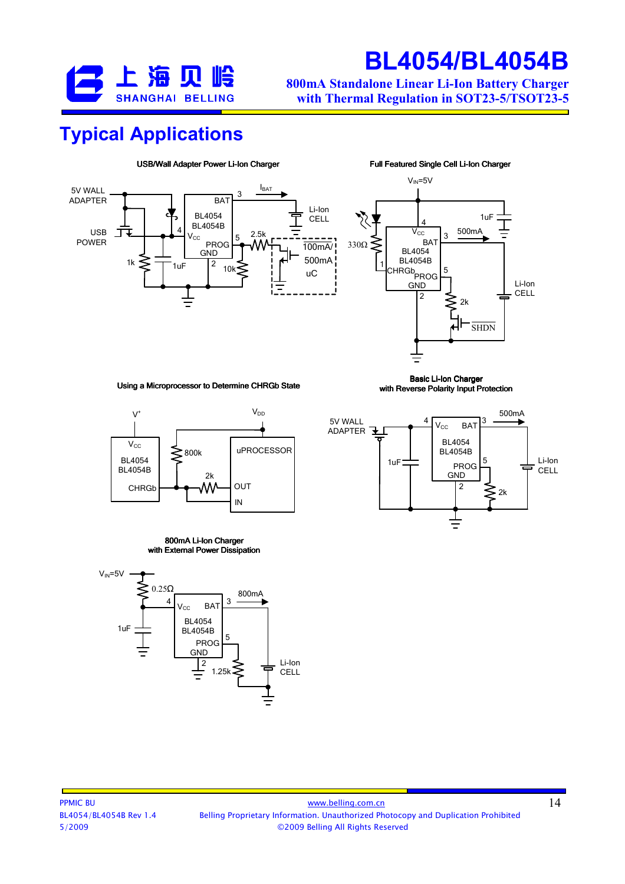

800mA Standalone Linear Li-Ion Battery Charger with Thermal Regulation in SOT23-5/TSOT23-5

### Typical Applications





Using a Microprocessor to Determine CHRGb State

Basic Li-Ion Charger with Reverse Polarity Input Protection



#### 800mA Li-Ion Charger with External Power Dissipation





500mA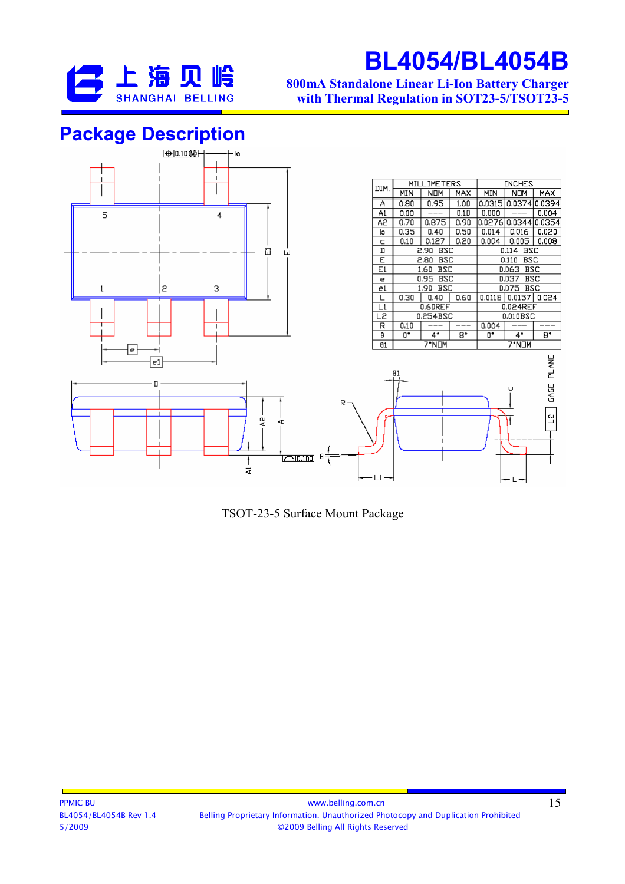

800mA Standalone Linear Li-Ion Battery Charger with Thermal Regulation in SOT23-5/TSOT23-5

### Package Description



TSOT-23-5 Surface Mount Package